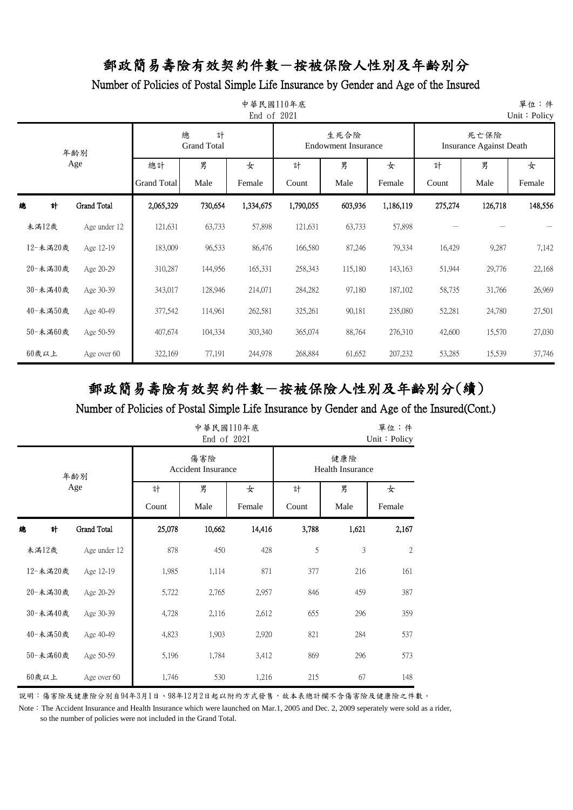### Number of Policies of Postal Simple Life Insurance by Gender and Age of the Insured

| 單位:件<br>中華民國110年底<br>End of 2021<br>Unit: Policy |                    |                    |                              |           |           |                                    |           |                                        |         |         |  |
|--------------------------------------------------|--------------------|--------------------|------------------------------|-----------|-----------|------------------------------------|-----------|----------------------------------------|---------|---------|--|
|                                                  | 年齢別                |                    | 總<br>計<br><b>Grand Total</b> |           |           | 生死合險<br><b>Endowment Insurance</b> |           | 死亡保險<br><b>Insurance Against Death</b> |         |         |  |
|                                                  | Age                | 總計                 | 男                            | 女         | 計         | 男                                  | 女         | 計                                      | 男       | 女       |  |
|                                                  |                    | <b>Grand Total</b> | Male                         | Female    | Count     | Male                               | Female    | Count                                  | Male    | Female  |  |
| 計<br>總                                           | <b>Grand Total</b> | 2,065,329          | 730,654                      | 1,334,675 | 1,790,055 | 603,936                            | 1,186,119 | 275,274                                | 126,718 | 148,556 |  |
| 未滿12歲                                            | Age under 12       | 121,631            | 63,733                       | 57,898    | 121,631   | 63,733                             | 57,898    |                                        |         |         |  |
| 12-未滿20歲                                         | Age 12-19          | 183,009            | 96,533                       | 86,476    | 166,580   | 87,246                             | 79,334    | 16,429                                 | 9,287   | 7,142   |  |
| 20-未満30歲                                         | Age 20-29          | 310,287            | 144,956                      | 165,331   | 258,343   | 115,180                            | 143,163   | 51,944                                 | 29,776  | 22,168  |  |
| 30-未滿40歲                                         | Age 30-39          | 343,017            | 128,946                      | 214,071   | 284,282   | 97,180                             | 187,102   | 58,735                                 | 31,766  | 26,969  |  |
| 40-未滿50歲                                         | Age 40-49          | 377,542            | 114,961                      | 262,581   | 325,261   | 90,181                             | 235,080   | 52,281                                 | 24,780  | 27,501  |  |
| 50-未満60歲                                         | Age 50-59          | 407,674            | 104,334                      | 303,340   | 365,074   | 88,764                             | 276,310   | 42,600                                 | 15,570  | 27,030  |  |
| $60$ 歲以上                                         | Age over 60        | 322,169            | 77,191                       | 244,978   | 268,884   | 61,652                             | 207,232   | 53,285                                 | 15,539  | 37,746  |  |

# 郵政簡易壽險有效契約件數-按被保險人性別及年齡別分(續)

### Number of Policies of Postal Simple Life Insurance by Gender and Age of the Insured(Cont.)

|          | 中華民國110年底<br>End of 2021 |        |                                  |        |                                |       |                |  |  |  |
|----------|--------------------------|--------|----------------------------------|--------|--------------------------------|-------|----------------|--|--|--|
|          | 年齡別                      |        | 傷害險<br><b>Accident Insurance</b> |        | 健康險<br><b>Health Insurance</b> |       |                |  |  |  |
|          | Age                      | 計      | 男                                | 女      | 計                              | 男     | 女              |  |  |  |
|          |                          | Count  | Male                             | Female | Count<br>Male                  |       |                |  |  |  |
| 總<br>計   | <b>Grand Total</b>       | 25,078 | 10,662                           | 14,416 | 3,788                          | 1,621 | 2,167          |  |  |  |
| 未満12歲    | Age under 12             | 878    | 450                              | 428    | 5                              | 3     | $\overline{2}$ |  |  |  |
| 12-未滿20歲 | Age 12-19                | 1,985  | 1,114                            | 871    | 377                            | 216   | 161            |  |  |  |
| 20-未滿30歲 | Age 20-29                | 5,722  | 2,765                            | 2,957  | 846                            | 459   | 387            |  |  |  |
| 30-未滿40歲 | Age 30-39                | 4,728  | 2,116                            | 2,612  | 655                            | 296   | 359            |  |  |  |
| 40-未滿50歲 | Age 40-49                | 4,823  | 1,903                            | 2,920  | 821                            | 284   | 537            |  |  |  |
| 50-未滿60歲 | Age 50-59                | 5,196  | 1,784                            | 3,412  | 869                            | 296   | 573            |  |  |  |
| $60$ 歲以上 | Age over 60              | 1,746  | 530                              | 1,216  | 215                            | 67    | 148            |  |  |  |

說明:傷害險及健康險分別自94年3月1日、98年12月2日起以附約方式發售,故本表總計欄不含傷害險及健康險之件數。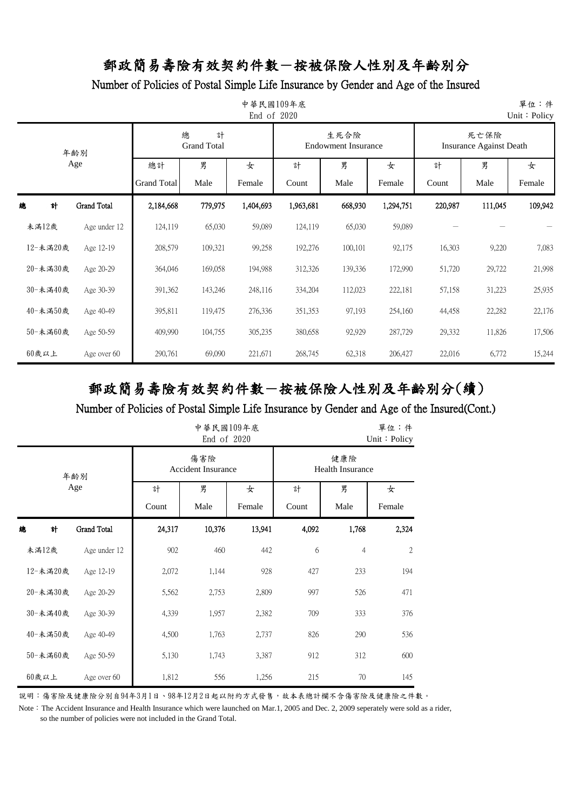#### Number of Policies of Postal Simple Life Insurance by Gender and Age of the Insured

|          | 單位:件<br>中華民國109年底<br>End of 2020<br>Unit: Policy |                    |                    |                              |           |           |         |                                                                      |         |         |         |  |
|----------|--------------------------------------------------|--------------------|--------------------|------------------------------|-----------|-----------|---------|----------------------------------------------------------------------|---------|---------|---------|--|
|          |                                                  | 年齢別                |                    | 總<br>計<br><b>Grand Total</b> |           |           | 生死合險    | 死亡保險<br><b>Insurance Against Death</b><br><b>Endowment Insurance</b> |         |         |         |  |
|          |                                                  | Age                | 總計                 | 男                            | 女         | 計         | 男       | 女                                                                    | 計       | 男       | 女       |  |
|          |                                                  |                    | <b>Grand Total</b> | Male                         | Female    | Count     | Male    | Female                                                               | Count   | Male    | Female  |  |
| 總        | 計                                                | <b>Grand Total</b> | 2,184,668          | 779,975                      | 1,404,693 | 1,963,681 | 668,930 | 1,294,751                                                            | 220,987 | 111,045 | 109,942 |  |
| 未滿12歲    |                                                  | Age under 12       | 124,119            | 65,030                       | 59,089    | 124,119   | 65,030  | 59,089                                                               |         |         |         |  |
| 12-未滿20歲 |                                                  | Age 12-19          | 208,579            | 109,321                      | 99,258    | 192,276   | 100,101 | 92,175                                                               | 16,303  | 9,220   | 7,083   |  |
| 20-未満30歲 |                                                  | Age 20-29          | 364,046            | 169,058                      | 194,988   | 312,326   | 139,336 | 172,990                                                              | 51,720  | 29,722  | 21,998  |  |
| 30-未滿40歲 |                                                  | Age 30-39          | 391,362            | 143,246                      | 248,116   | 334,204   | 112,023 | 222,181                                                              | 57,158  | 31,223  | 25,935  |  |
| 40-未滿50歲 |                                                  | Age 40-49          | 395,811            | 119,475                      | 276,336   | 351,353   | 97,193  | 254,160                                                              | 44,458  | 22,282  | 22,176  |  |
| 50-未満60歲 |                                                  | Age 50-59          | 409,990            | 104,755                      | 305,235   | 380,658   | 92,929  | 287,729                                                              | 29,332  | 11,826  | 17,506  |  |
| $60$ 歲以上 |                                                  | Age over 60        | 290,761            | 69,090                       | 221,671   | 268,745   | 62,318  | 206,427                                                              | 22,016  | 6,772   | 15,244  |  |

# 郵政簡易壽險有效契約件數-按被保險人性別及年齡別分(續)

### Number of Policies of Postal Simple Life Insurance by Gender and Age of the Insured(Cont.)

|   |          |                    | 單位:件<br>Unit: Policy |                                  |        |                         |                |                |
|---|----------|--------------------|----------------------|----------------------------------|--------|-------------------------|----------------|----------------|
|   |          | 年齡別                |                      | 傷害險<br><b>Accident Insurance</b> | 健康險    | <b>Health Insurance</b> |                |                |
|   |          | Age                | 計                    | 男                                | 女      | 計                       | 男              | 女              |
|   |          |                    | Count                | Male                             | Female | Count                   | Male           | Female         |
| 總 | 計        | <b>Grand Total</b> | 24,317               | 10,376                           | 13,941 | 4,092                   | 1,768          | 2,324          |
|   | 未滿12歲    | Age under 12       | 902                  | 460                              | 442    | 6                       | $\overline{4}$ | $\overline{2}$ |
|   | 12-未滿20歲 | Age 12-19          | 2,072                | 1,144                            | 928    | 427                     | 233            | 194            |
|   | 20-未滿30歲 | Age 20-29          | 5,562                | 2,753                            | 2,809  | 997                     | 526            | 471            |
|   | 30-未滿40歲 | Age 30-39          | 4,339                | 1,957                            | 2,382  | 709                     | 333            | 376            |
|   | 40-未滿50歲 | Age 40-49          | 4,500                | 1,763                            | 2,737  | 826                     | 290            | 536            |
|   | 50-未滿60歲 | Age 50-59          | 5,130                | 1,743                            | 3,387  | 912                     | 312            | 600            |
|   | 60歲以上    | Age over 60        | 1,812                | 556                              | 1,256  | 215                     | 70             | 145            |

說明:傷害險及健康險分別自94年3月1日、98年12月2日起以附約方式發售,故本表總計欄不含傷害險及健康險之件數。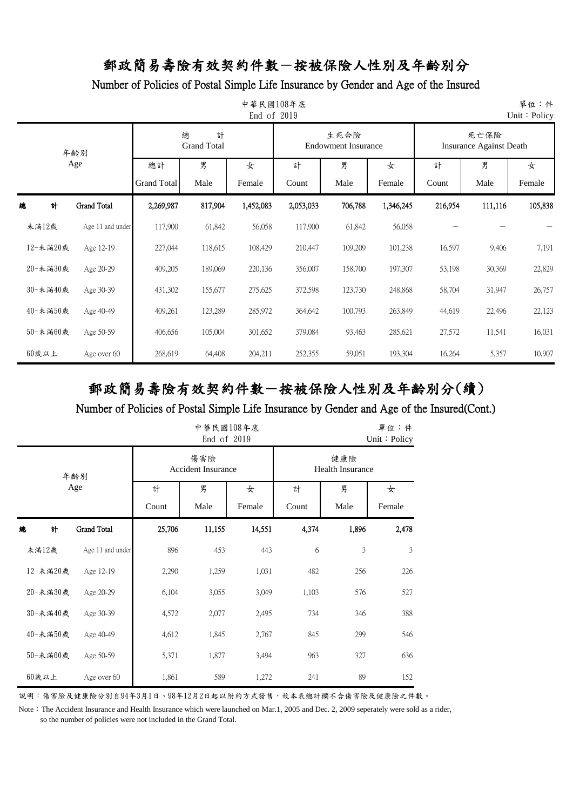### Number of Policies of Postal Simple Life Insurance by Gender and Age of the Insured

| 中華民國108年底<br>單位:件<br>End of 2019<br>Unit: Policy |          |                    |           |                                                                    |           |           |         |           |         |                                        |         |  |  |
|--------------------------------------------------|----------|--------------------|-----------|--------------------------------------------------------------------|-----------|-----------|---------|-----------|---------|----------------------------------------|---------|--|--|
|                                                  |          | 年齢別                |           | 總<br>計<br>生死合險<br><b>Grand Total</b><br><b>Endowment Insurance</b> |           |           |         |           |         | 死亡保險<br><b>Insurance Against Death</b> |         |  |  |
|                                                  | Age      |                    | 總計        | 男                                                                  | 女         | 計         | 男       | 女         | 計       | 男                                      | 女       |  |  |
|                                                  |          | <b>Grand Total</b> | Male      | Female                                                             | Count     | Male      | Female  | Count     | Male    | Female                                 |         |  |  |
| 總                                                | 計        | <b>Grand Total</b> | 2,269,987 | 817,904                                                            | 1,452,083 | 2,053,033 | 706,788 | 1,346,245 | 216,954 | 111,116                                | 105,838 |  |  |
|                                                  | 未滿12歲    | Age 11 and under   | 117,900   | 61,842                                                             | 56,058    | 117,900   | 61,842  | 56,058    |         |                                        |         |  |  |
|                                                  | 12-未滿20歲 | Age 12-19          | 227,044   | 118,615                                                            | 108,429   | 210,447   | 109,209 | 101,238   | 16,597  | 9,406                                  | 7,191   |  |  |
|                                                  | 20-未満30歲 | Age 20-29          | 409,205   | 189,069                                                            | 220,136   | 356,007   | 158,700 | 197,307   | 53,198  | 30,369                                 | 22,829  |  |  |
|                                                  | 30-未滿40歲 | Age 30-39          | 431,302   | 155,677                                                            | 275,625   | 372,598   | 123,730 | 248,868   | 58,704  | 31,947                                 | 26,757  |  |  |
|                                                  | 40-未滿50歲 | Age 40-49          | 409,261   | 123,289                                                            | 285,972   | 364,642   | 100,793 | 263,849   | 44,619  | 22,496                                 | 22,123  |  |  |
|                                                  | 50-未滿60歲 | Age 50-59          | 406,656   | 105,004                                                            | 301,652   | 379,084   | 93,463  | 285,621   | 27,572  | 11,541                                 | 16,031  |  |  |
|                                                  | 60歲以上    | Age over 60        | 268,619   | 64,408                                                             | 204,211   | 252,355   | 59,051  | 193,304   | 16,264  | 5,357                                  | 10,907  |  |  |

# 郵政簡易壽險有效契約件數-按被保險人性別及年齡別分(續)

### Number of Policies of Postal Simple Life Insurance by Gender and Age of the Insured(Cont.)

|   |          |                    |                         |                                  | 單位:件<br>Unit: Policy |       |                                |        |  |  |
|---|----------|--------------------|-------------------------|----------------------------------|----------------------|-------|--------------------------------|--------|--|--|
|   |          | 年齢別                |                         | 傷害險<br><b>Accident Insurance</b> |                      |       | 健康險<br><b>Health Insurance</b> |        |  |  |
|   |          | Age                | 計                       | 男<br>女                           |                      | 計     | 男                              | 女      |  |  |
|   |          |                    | Male<br>Female<br>Count |                                  |                      | Count | Male                           | Female |  |  |
| 總 | 計        | <b>Grand Total</b> | 25,706                  | 11,155                           | 14,551               | 4,374 | 1,896                          | 2,478  |  |  |
|   | 未満12歲    | Age 11 and under   | 896                     | 453                              | 443                  | 6     | 3                              | 3      |  |  |
|   | 12-未滿20歲 | Age 12-19          | 2,290                   | 1,259                            | 1,031                | 482   | 256                            | 226    |  |  |
|   | 20-未滿30歲 | Age 20-29          | 6,104                   | 3,055                            | 3,049                | 1,103 | 576                            | 527    |  |  |
|   | 30-未滿40歲 | Age 30-39          | 4,572                   | 2,077                            | 2,495                | 734   | 346                            | 388    |  |  |
|   | 40-未滿50歲 | Age 40-49          | 4,612                   | 1,845                            | 2,767                | 845   | 299                            | 546    |  |  |
|   | 50-未滿60歲 | Age 50-59          | 5,371                   | 1,877                            | 3,494                | 963   | 327                            | 636    |  |  |
|   | $60$ 歲以上 | Age over 60        | 1,861                   | 589                              | 1,272                | 241   | 89                             | 152    |  |  |

說明:傷害險及健康險分別自94年3月1日、98年12月2日起以附約方式發售,故本表總計欄不含傷害險及健康險之件數。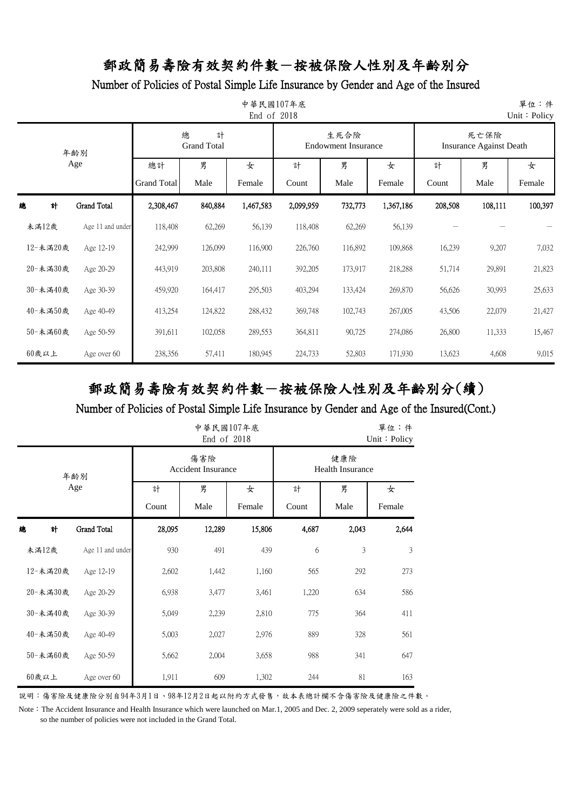#### Number of Policies of Postal Simple Life Insurance by Gender and Age of the Insured

| 單位:件<br>中華民國107年底<br>End of 2018<br>Unit: Policy |          |                  |                    |                              |           |           |                                    |           |                                        |         |         |  |
|--------------------------------------------------|----------|------------------|--------------------|------------------------------|-----------|-----------|------------------------------------|-----------|----------------------------------------|---------|---------|--|
|                                                  |          | 年齢別              |                    | 總<br>計<br><b>Grand Total</b> |           |           | 生死合險<br><b>Endowment Insurance</b> |           | 死亡保險<br><b>Insurance Against Death</b> |         |         |  |
|                                                  | Age      |                  | 總計                 | 男                            | 女         | 計         | 男                                  | 女         | 計                                      | 男       | 女       |  |
|                                                  |          |                  | <b>Grand Total</b> | Male                         | Female    | Count     | Male                               | Female    | Count                                  | Male    | Female  |  |
| 總                                                | 計        | Grand Total      | 2,308,467          | 840,884                      | 1,467,583 | 2,099,959 | 732,773                            | 1,367,186 | 208,508                                | 108,111 | 100,397 |  |
|                                                  | 未滿12歲    | Age 11 and under | 118,408            | 62,269                       | 56,139    | 118,408   | 62,269                             | 56,139    |                                        |         |         |  |
|                                                  | 12-未滿20歲 | Age 12-19        | 242,999            | 126,099                      | 116,900   | 226,760   | 116,892                            | 109,868   | 16,239                                 | 9,207   | 7,032   |  |
|                                                  | 20-未満30歲 | Age 20-29        | 443,919            | 203,808                      | 240,111   | 392,205   | 173,917                            | 218,288   | 51,714                                 | 29,891  | 21,823  |  |
|                                                  | 30-未滿40歲 | Age 30-39        | 459,920            | 164,417                      | 295,503   | 403,294   | 133,424                            | 269,870   | 56,626                                 | 30,993  | 25,633  |  |
|                                                  | 40-未滿50歲 | Age 40-49        | 413,254            | 124,822                      | 288,432   | 369,748   | 102,743                            | 267,005   | 43,506                                 | 22,079  | 21,427  |  |
|                                                  | 50-未滿60歲 | Age 50-59        | 391,611            | 102,058                      | 289,553   | 364,811   | 90,725                             | 274,086   | 26,800                                 | 11,333  | 15,467  |  |
|                                                  | 60歲以上    | Age over 60      | 238,356            | 57,411                       | 180,945   | 224,733   | 52,803                             | 171,930   | 13,623                                 | 4,608   | 9,015   |  |

## 郵政簡易壽險有效契約件數-按被保險人性別及年齡別分(續)

### Number of Policies of Postal Simple Life Insurance by Gender and Age of the Insured(Cont.)

|   |          |                    |             |                                  | 單位:件<br>Unit: Policy |                                |        |       |  |
|---|----------|--------------------|-------------|----------------------------------|----------------------|--------------------------------|--------|-------|--|
|   |          | 年齢別                |             | 傷害險<br><b>Accident Insurance</b> |                      | 健康險<br><b>Health Insurance</b> |        |       |  |
|   |          | Age                | 男<br>計<br>女 |                                  | 計                    | 男                              | 女      |       |  |
|   |          |                    | Count       | Male                             | Count                | Male                           | Female |       |  |
| 總 | 計        | <b>Grand Total</b> | 28,095      | 12,289                           | 15,806               | 4,687                          | 2,043  | 2,644 |  |
|   | 未満12歲    | Age 11 and under   | 930         | 491                              | 439                  | 6                              | 3      | 3     |  |
|   | 12-未滿20歲 | Age 12-19          | 2,602       | 1,442                            | 1,160                | 565                            | 292    | 273   |  |
|   | 20-未滿30歲 | Age 20-29          | 6,938       | 3,477                            | 3,461                | 1,220                          | 634    | 586   |  |
|   | 30-未滿40歲 | Age 30-39          | 5,049       | 2,239                            | 2,810                | 775                            | 364    | 411   |  |
|   | 40-未滿50歲 | Age 40-49          | 5,003       | 2,027                            | 2,976                | 889                            | 328    | 561   |  |
|   | 50-未滿60歲 | Age 50-59          | 5,662       | 2,004                            | 3,658                | 988                            | 341    | 647   |  |
|   | $60$ 歲以上 | Age over 60        | 1,911       | 609                              | 1,302                | 244                            | 81     | 163   |  |

說明:傷害險及健康險分別自94年3月1日、98年12月2日起以附約方式發售,故本表總計欄不含傷害險及健康險之件數。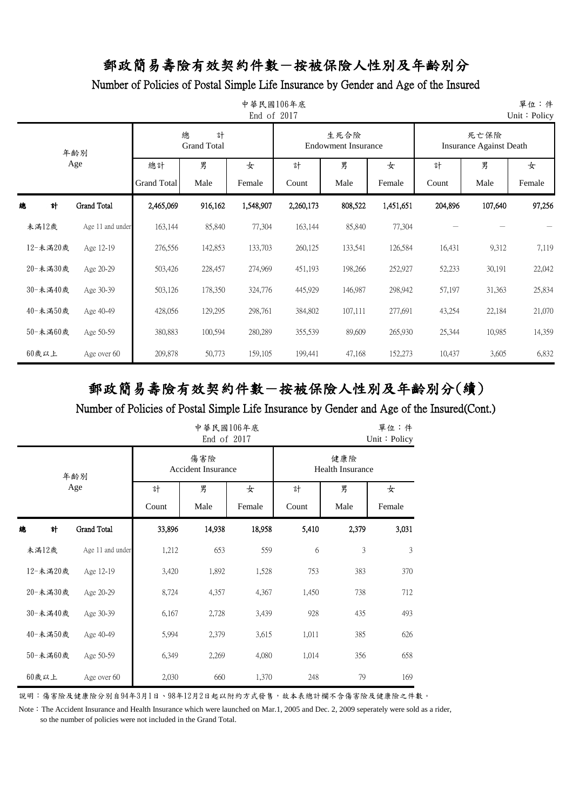### Number of Policies of Postal Simple Life Insurance by Gender and Age of the Insured

| 單位:件<br>中華民國106年底<br>End of 2017<br>Unit: Policy |          |                    |                    |                              |           |           |                                    |           |                                        |         |        |
|--------------------------------------------------|----------|--------------------|--------------------|------------------------------|-----------|-----------|------------------------------------|-----------|----------------------------------------|---------|--------|
|                                                  |          | 年齢別                |                    | 總<br>計<br><b>Grand Total</b> |           |           | 生死合險<br><b>Endowment Insurance</b> |           | 死亡保險<br><b>Insurance Against Death</b> |         |        |
|                                                  |          | Age                | 總計                 | 男                            | 女         | 計         | 男                                  | 女         | 計                                      | 男       | 女      |
|                                                  |          |                    | <b>Grand Total</b> | Male                         | Female    | Count     | Male                               | Female    | Count                                  | Male    | Female |
| 總                                                | 計        | <b>Grand Total</b> | 2,465,069          | 916,162                      | 1,548,907 | 2,260,173 | 808,522                            | 1,451,651 | 204,896                                | 107,640 | 97,256 |
| 未滿12歲                                            |          | Age 11 and under   | 163,144            | 85,840                       | 77,304    | 163,144   | 85,840                             | 77,304    |                                        |         |        |
|                                                  | 12-未滿20歲 | Age 12-19          | 276,556            | 142,853                      | 133,703   | 260,125   | 133,541                            | 126,584   | 16,431                                 | 9,312   | 7,119  |
|                                                  | 20-未満30歲 | Age 20-29          | 503,426            | 228,457                      | 274,969   | 451,193   | 198,266                            | 252,927   | 52,233                                 | 30,191  | 22,042 |
|                                                  | 30-未滿40歲 | Age 30-39          | 503,126            | 178,350                      | 324,776   | 445,929   | 146,987                            | 298,942   | 57,197                                 | 31,363  | 25,834 |
|                                                  | 40-未滿50歲 | Age 40-49          | 428,056            | 129,295                      | 298,761   | 384,802   | 107,111                            | 277,691   | 43,254                                 | 22,184  | 21,070 |
|                                                  | 50-未滿60歲 | Age 50-59          | 380,883            | 100,594                      | 280,289   | 355,539   | 89,609                             | 265,930   | 25,344                                 | 10,985  | 14,359 |
| 60歲以上                                            |          | Age over 60        | 209,878            | 50,773                       | 159,105   | 199,441   | 47,168                             | 152,273   | 10,437                                 | 3,605   | 6,832  |

# 郵政簡易壽險有效契約件數-按被保險人性別及年齡別分(續)

### Number of Policies of Postal Simple Life Insurance by Gender and Age of the Insured(Cont.)

|          |                  | 單位:件<br>Unit: Policy |                                  |        |                         |       |        |
|----------|------------------|----------------------|----------------------------------|--------|-------------------------|-------|--------|
|          | 年齢別              |                      | 傷害險<br><b>Accident Insurance</b> | 健康險    | <b>Health Insurance</b> |       |        |
|          | Age              | 計                    | 男                                | 女      | 計                       | 男     | 女      |
|          |                  | Count                | Male                             | Female | Count                   | Male  | Female |
| 總<br>計   | Grand Total      | 33,896               | 14,938                           | 18,958 | 5,410                   | 2,379 | 3,031  |
| 未満12歲    | Age 11 and under | 1,212                | 653                              | 559    | 6                       | 3     | 3      |
| 12-未滿20歲 | Age 12-19        | 3,420                | 1,892                            | 1,528  | 753                     | 383   | 370    |
| 20-未滿30歲 | Age 20-29        | 8,724                | 4,357                            | 4,367  | 1,450                   | 738   | 712    |
| 30-未滿40歲 | Age 30-39        | 6,167                | 2,728                            | 3,439  | 928                     | 435   | 493    |
| 40-未滿50歲 | Age 40-49        | 5,994                | 2,379                            | 3,615  | 1,011                   | 385   | 626    |
| 50-未滿60歲 | Age 50-59        | 6,349                | 2,269                            | 4,080  | 1,014                   | 356   | 658    |
| $60$ 歲以上 | Age over 60      | 2,030                | 660                              | 1,370  | 248                     | 79    | 169    |

說明:傷害險及健康險分別自94年3月1日、98年12月2日起以附約方式發售,故本表總計欄不含傷害險及健康險之件數。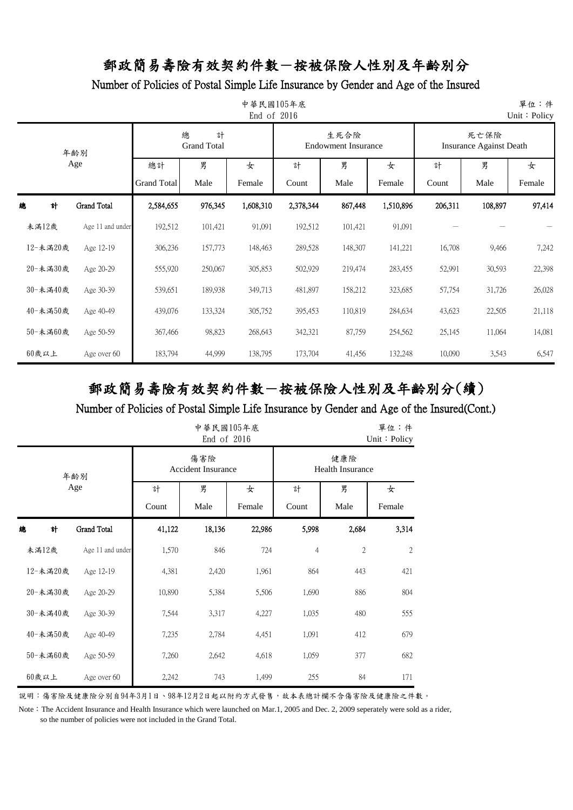#### Number of Policies of Postal Simple Life Insurance by Gender and Age of the Insured

|   | 單位:件<br>中華民國105年底<br>End of 2016<br>Unit: Policy |                    |                    |                              |           |                            |                                 |           |         |         |        |  |
|---|--------------------------------------------------|--------------------|--------------------|------------------------------|-----------|----------------------------|---------------------------------|-----------|---------|---------|--------|--|
|   |                                                  | 年齢別                |                    | 總<br>計<br><b>Grand Total</b> |           | <b>Endowment Insurance</b> | 死亡保險<br>Insurance Against Death |           |         |         |        |  |
|   |                                                  | Age                | 總計                 | 男                            | 女         | 計                          | 男                               | 女         | 計       | 男       | 女      |  |
|   |                                                  |                    | <b>Grand Total</b> | Male                         | Female    | Count                      | Male                            | Female    | Count   | Male    | Female |  |
| 總 | 計                                                | <b>Grand Total</b> | 2,584,655          | 976,345                      | 1,608,310 | 2,378,344                  | 867,448                         | 1,510,896 | 206,311 | 108,897 | 97,414 |  |
|   | 未滿12歲                                            | Age 11 and under   | 192,512            | 101,421                      | 91,091    | 192,512                    | 101,421                         | 91,091    |         |         |        |  |
|   | 12-未滿20歲                                         | Age 12-19          | 306,236            | 157,773                      | 148,463   | 289,528                    | 148,307                         | 141,221   | 16,708  | 9,466   | 7,242  |  |
|   | 20-未満30歲                                         | Age 20-29          | 555,920            | 250,067                      | 305,853   | 502,929                    | 219,474                         | 283,455   | 52,991  | 30,593  | 22,398 |  |
|   | 30-未滿40歲                                         | Age 30-39          | 539,651            | 189,938                      | 349,713   | 481,897                    | 158,212                         | 323,685   | 57,754  | 31,726  | 26,028 |  |
|   | 40-未滿50歲                                         | Age 40-49          | 439,076            | 133,324                      | 305,752   | 395,453                    | 110,819                         | 284,634   | 43,623  | 22,505  | 21,118 |  |
|   | 50-未滿60歲                                         | Age 50-59          | 367,466            | 98,823                       | 268,643   | 342,321                    | 87,759                          | 254,562   | 25,145  | 11,064  | 14,081 |  |
|   | $60$ 歲以上                                         | Age over 60        | 183,794            | 44,999                       | 138,795   | 173,704                    | 41,456                          | 132,248   | 10,090  | 3,543   | 6,547  |  |

# 郵政簡易壽險有效契約件數-按被保險人性別及年齡別分(續)

### Number of Policies of Postal Simple Life Insurance by Gender and Age of the Insured(Cont.)

|   |          |                    |        |                                  | 單位:件<br>Unit: Policy |                |                                |                |  |  |
|---|----------|--------------------|--------|----------------------------------|----------------------|----------------|--------------------------------|----------------|--|--|
|   |          | 年齢別                |        | 傷害險<br><b>Accident Insurance</b> |                      |                | 健康險<br><b>Health Insurance</b> |                |  |  |
|   |          | Age                | 計      | 男                                | 女                    | 計              | 男                              | 女              |  |  |
|   |          |                    | Male   | Female                           | Count                | Male           | Female                         |                |  |  |
| 總 | 計        | <b>Grand Total</b> | 41,122 | 18,136                           | 22,986               | 5,998          | 2,684                          | 3,314          |  |  |
|   | 未満12歲    | Age 11 and under   | 1,570  | 846                              | 724                  | $\overline{4}$ | $\overline{2}$                 | $\overline{2}$ |  |  |
|   | 12-未滿20歲 | Age 12-19          | 4,381  | 2,420                            | 1,961                | 864            | 443                            | 421            |  |  |
|   | 20-未滿30歲 | Age 20-29          | 10,890 | 5,384                            | 5,506                | 1,690          | 886                            | 804            |  |  |
|   | 30-未滿40歲 | Age 30-39          | 7,544  | 3,317                            | 4,227                | 1,035          | 480                            | 555            |  |  |
|   | 40-未滿50歲 | Age 40-49          | 7,235  | 2,784                            | 4,451                | 1,091          | 412                            | 679            |  |  |
|   | 50-未滿60歲 | Age 50-59          | 7,260  | 2,642                            | 4,618                | 1,059          | 377                            | 682            |  |  |
|   | $60$ 歲以上 | Age over 60        | 2,242  | 743                              | 1,499                | 255            | 84                             | 171            |  |  |

說明:傷害險及健康險分別自94年3月1日、98年12月2日起以附約方式發售,故本表總計欄不含傷害險及健康險之件數。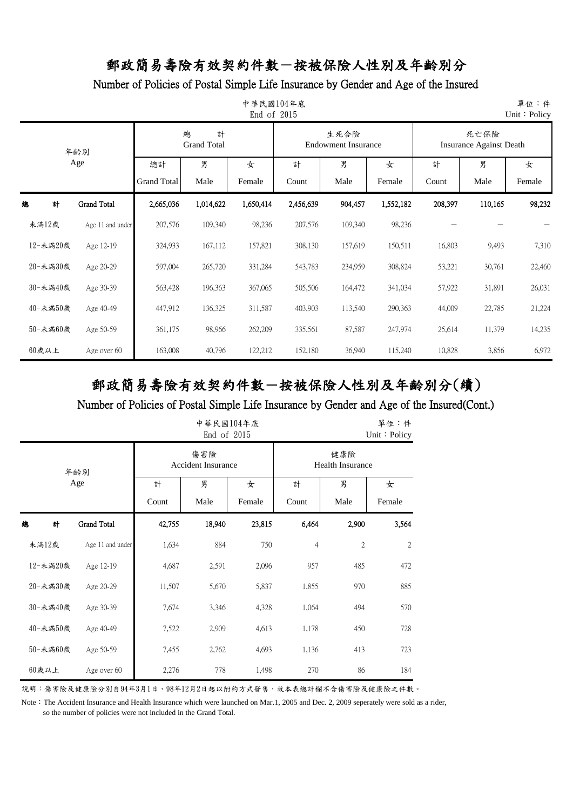#### Number of Policies of Postal Simple Life Insurance by Gender and Age of the Insured

|   | 中華民國104年底<br>單位:件<br>End of 2015<br>Unit: Policy |                    |                    |                              |           |           |                                    |           |         |                                        |        |  |
|---|--------------------------------------------------|--------------------|--------------------|------------------------------|-----------|-----------|------------------------------------|-----------|---------|----------------------------------------|--------|--|
|   |                                                  | 年齢別                |                    | 總<br>計<br><b>Grand Total</b> |           |           | 生死合險<br><b>Endowment Insurance</b> |           |         | 死亡保險<br><b>Insurance Against Death</b> |        |  |
|   |                                                  | Age                | 總計                 | 男                            | 女         | 計         | 男                                  | 女         | 計       | 男                                      | 女      |  |
|   |                                                  |                    | <b>Grand Total</b> | Male                         | Female    | Count     | Male                               | Female    | Count   | Male                                   | Female |  |
| 總 | 計                                                | <b>Grand Total</b> | 2,665,036          | 1,014,622                    | 1,650,414 | 2,456,639 | 904,457                            | 1,552,182 | 208,397 | 110,165                                | 98,232 |  |
|   | 未滿12歲                                            | Age 11 and under   | 207,576            | 109,340                      | 98,236    | 207,576   | 109,340                            | 98,236    |         |                                        |        |  |
|   | 12-未滿20歲                                         | Age 12-19          | 324,933            | 167,112                      | 157,821   | 308,130   | 157,619                            | 150,511   | 16,803  | 9,493                                  | 7,310  |  |
|   | 20-未満30歲                                         | Age 20-29          | 597,004            | 265,720                      | 331,284   | 543,783   | 234,959                            | 308,824   | 53,221  | 30,761                                 | 22,460 |  |
|   | 30-未滿40歲                                         | Age 30-39          | 563,428            | 196,363                      | 367,065   | 505,506   | 164,472                            | 341,034   | 57,922  | 31,891                                 | 26,031 |  |
|   | 40-未満50歲                                         | Age 40-49          | 447,912            | 136,325                      | 311,587   | 403,903   | 113,540                            | 290,363   | 44,009  | 22,785                                 | 21,224 |  |
|   | 50-未満60歲                                         | Age 50-59          | 361,175            | 98,966                       | 262,209   | 335,561   | 87,587                             | 247,974   | 25,614  | 11,379                                 | 14,235 |  |
|   | $60$ 歲以上                                         | Age over 60        | 163,008            | 40,796                       | 122,212   | 152,180   | 36,940                             | 115,240   | 10,828  | 3,856                                  | 6,972  |  |

## 郵政簡易壽險有效契約件數-按被保險人性別及年齡別分(續)

### Number of Policies of Postal Simple Life Insurance by Gender and Age of the Insured(Cont.)

|   |          |                    |                           |                                | 單位:件<br>Unit: Policy |                |                |                |
|---|----------|--------------------|---------------------------|--------------------------------|----------------------|----------------|----------------|----------------|
|   |          | 年齢別                | <b>Accident Insurance</b> | 健康險<br><b>Health Insurance</b> |                      |                |                |                |
|   |          | Age                | 計                         | 男                              | 女                    | 計              | 男              | 女              |
|   |          |                    | Male<br>Female<br>Count   |                                |                      | Count          | Female         |                |
| 總 | 計        | <b>Grand Total</b> | 42,755                    | 18,940                         | 23,815               | 6,464          | 2,900          | 3,564          |
|   | 未滿12歲    | Age 11 and under   | 1,634                     | 884                            | 750                  | $\overline{4}$ | $\overline{2}$ | $\overline{2}$ |
|   | 12-未滿20歲 | Age 12-19          | 4,687                     | 2,591                          | 2,096                | 957            | 485            | 472            |
|   | 20-未満30歲 | Age 20-29          | 11,507                    | 5,670                          | 5,837                | 1,855          | 970            | 885            |
|   | 30-未滿40歲 | Age 30-39          | 7,674                     | 3,346                          | 4,328                | 1,064          | 494            | 570            |
|   | 40-未滿50歲 | Age 40-49          | 7,522                     | 2,909                          | 4,613                | 1,178          | 450            | 728            |
|   | 50-未満60歲 | Age 50-59          | 7,455                     | 2,762                          | 4,693                | 1,136          | 413            | 723            |
|   | 60歲以上    | Age over 60        | 2,276                     | 778                            | 1,498                | 270            | 86             | 184            |

說明:傷害險及健康險分別自94年3月1日、98年12月2日起以附約方式發售,故本表總計欄不含傷害險及健康險之件數。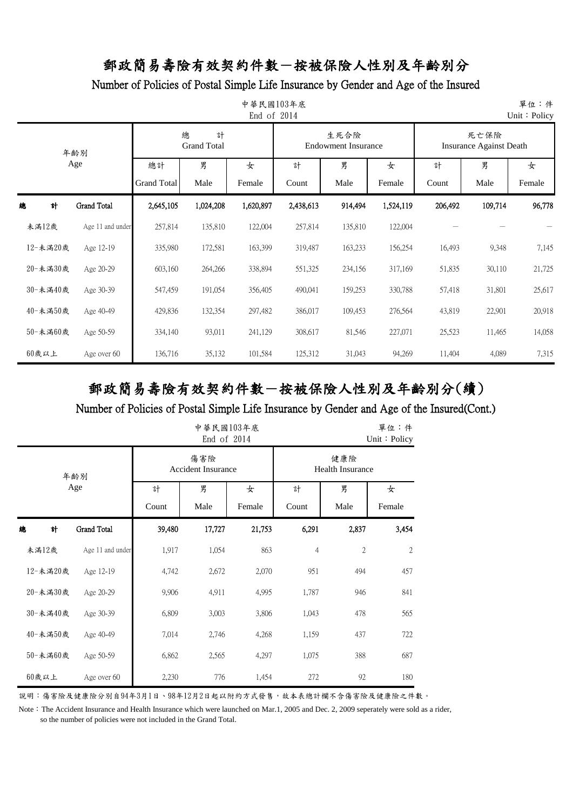### Number of Policies of Postal Simple Life Insurance by Gender and Age of the Insured

| 中華民國103年底<br>End of 2014 |                    |                    |                              |           |           |                                    |           |                                        |         |        |  |
|--------------------------|--------------------|--------------------|------------------------------|-----------|-----------|------------------------------------|-----------|----------------------------------------|---------|--------|--|
|                          | 年齢別                |                    | 總<br>計<br><b>Grand Total</b> |           |           | 生死合險<br><b>Endowment Insurance</b> |           | 死亡保險<br><b>Insurance Against Death</b> |         |        |  |
|                          | Age                | 總計                 | 男                            | 女         | 計         | 男                                  | 女         | 計                                      | 男       | 女      |  |
|                          |                    | <b>Grand Total</b> | Male                         | Female    | Count     | Male                               | Female    | Count                                  | Male    | Female |  |
| 計<br>總                   | <b>Grand Total</b> | 2,645,105          | 1,024,208                    | 1,620,897 | 2,438,613 | 914,494                            | 1,524,119 | 206,492                                | 109,714 | 96,778 |  |
| 未滿12歲                    | Age 11 and under   | 257,814            | 135,810                      | 122,004   | 257,814   | 135,810                            | 122,004   |                                        |         |        |  |
| 12-未滿20歲                 | Age 12-19          | 335,980            | 172,581                      | 163,399   | 319,487   | 163,233                            | 156,254   | 16,493                                 | 9,348   | 7,145  |  |
| 20-未満30歲                 | Age 20-29          | 603,160            | 264,266                      | 338,894   | 551,325   | 234,156                            | 317,169   | 51,835                                 | 30,110  | 21,725 |  |
| 30-未滿40歲                 | Age 30-39          | 547,459            | 191,054                      | 356,405   | 490,041   | 159,253                            | 330,788   | 57,418                                 | 31,801  | 25,617 |  |
| 40-未滿50歲                 | Age 40-49          | 429,836            | 132,354                      | 297,482   | 386,017   | 109,453                            | 276,564   | 43,819                                 | 22,901  | 20,918 |  |
| 50-未滿60歲                 | Age 50-59          | 334,140            | 93,011                       | 241,129   | 308,617   | 81,546                             | 227,071   | 25,523                                 | 11,465  | 14,058 |  |
| 60歲以上                    | Age over 60        | 136,716            | 35,132                       | 101,584   | 125,312   | 31,043                             | 94,269    | 11,404                                 | 4,089   | 7,315  |  |

# 郵政簡易壽險有效契約件數-按被保險人性別及年齡別分(續)

### Number of Policies of Postal Simple Life Insurance by Gender and Age of the Insured(Cont.)

|          |     |                    |                           |                                | 單位:件<br>Unit: Policy |                |       |                |
|----------|-----|--------------------|---------------------------|--------------------------------|----------------------|----------------|-------|----------------|
|          | 年齢別 |                    | <b>Accident Insurance</b> | 健康險<br><b>Health Insurance</b> |                      |                |       |                |
|          | Age |                    | 計                         | 男                              | 女                    | 計              | 男     | 女              |
|          |     |                    | Count                     | Male                           | Female               | Count          | Male  | Female         |
| 總<br>計   |     | <b>Grand Total</b> | 39,480                    | 17,727                         | 21,753               | 6,291          | 2,837 | 3,454          |
| 未満12歲    |     | Age 11 and under   | 1,917                     | 1,054                          | 863                  | $\overline{4}$ | 2     | $\overline{2}$ |
| 12-未滿20歲 |     | Age 12-19          | 4,742                     | 2,672                          | 2,070                | 951            | 494   | 457            |
| 20-未滿30歲 |     | Age 20-29          | 9,906                     | 4,911                          | 4,995                | 1,787          | 946   | 841            |
| 30-未滿40歲 |     | Age 30-39          | 6,809                     | 3,003                          | 3,806                | 1,043          | 478   | 565            |
| 40-未滿50歲 |     | Age 40-49          | 7,014                     | 2,746                          | 4,268                | 1,159          | 437   | 722            |
| 50-未滿60歲 |     | Age 50-59          | 6,862                     | 2,565                          | 4,297                | 1,075          | 388   | 687            |
| $60$ 歲以上 |     | Age over 60        | 2,230                     | 776                            | 1,454                | 272            | 92    | 180            |

說明:傷害險及健康險分別自94年3月1日、98年12月2日起以附約方式發售,故本表總計欄不含傷害險及健康險之件數。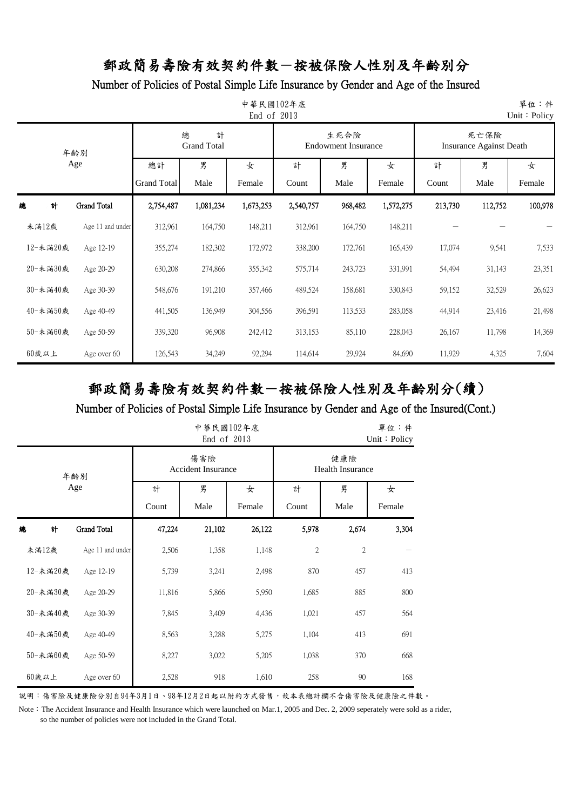### Number of Policies of Postal Simple Life Insurance by Gender and Age of the Insured

|   | 單位:件<br>中華民國102年底<br>End of 2013<br>Unit: Policy |                    |                    |                              |           |           |                                    |           |                                        |         |         |  |
|---|--------------------------------------------------|--------------------|--------------------|------------------------------|-----------|-----------|------------------------------------|-----------|----------------------------------------|---------|---------|--|
|   |                                                  | 年齢別                |                    | 總<br>計<br><b>Grand Total</b> |           |           | 生死合險<br><b>Endowment Insurance</b> |           | 死亡保險<br><b>Insurance Against Death</b> |         |         |  |
|   |                                                  | Age                | 總計                 | 男                            | 女         | 計         | 男                                  | 女         | 計                                      | 男       | 女       |  |
|   |                                                  |                    | <b>Grand Total</b> | Male                         | Female    | Count     | Male                               | Female    | Count                                  | Male    | Female  |  |
| 總 | 計                                                | <b>Grand Total</b> | 2,754,487          | 1,081,234                    | 1,673,253 | 2,540,757 | 968,482                            | 1,572,275 | 213,730                                | 112,752 | 100,978 |  |
|   | 未滿12歲                                            | Age 11 and under   | 312,961            | 164,750                      | 148,211   | 312,961   | 164,750                            | 148,211   |                                        |         |         |  |
|   | 12-未滿20歲                                         | Age 12-19          | 355,274            | 182,302                      | 172,972   | 338,200   | 172,761                            | 165,439   | 17,074                                 | 9,541   | 7,533   |  |
|   | 20-未満30歲                                         | Age 20-29          | 630,208            | 274,866                      | 355,342   | 575,714   | 243,723                            | 331,991   | 54,494                                 | 31,143  | 23,351  |  |
|   | 30-未滿40歲                                         | Age 30-39          | 548,676            | 191,210                      | 357,466   | 489,524   | 158,681                            | 330,843   | 59,152                                 | 32,529  | 26,623  |  |
|   | 40-未滿50歲                                         | Age 40-49          | 441,505            | 136,949                      | 304,556   | 396,591   | 113,533                            | 283,058   | 44,914                                 | 23,416  | 21,498  |  |
|   | 50-未滿60歲                                         | Age 50-59          | 339,320            | 96,908                       | 242,412   | 313,153   | 85,110                             | 228,043   | 26,167                                 | 11,798  | 14,369  |  |
|   | $60$ 歲以上                                         | Age over 60        | 126,543            | 34,249                       | 92,294    | 114,614   | 29,924                             | 84,690    | 11,929                                 | 4,325   | 7,604   |  |

# 郵政簡易壽險有效契約件數-按被保險人性別及年齡別分(續)

### Number of Policies of Postal Simple Life Insurance by Gender and Age of the Insured(Cont.)

|          |                    |        |                                  | 單位:件<br>Unit: Policy |                                |       |        |  |
|----------|--------------------|--------|----------------------------------|----------------------|--------------------------------|-------|--------|--|
|          | 年齡別                |        | 傷害險<br><b>Accident Insurance</b> |                      | 健康險<br><b>Health Insurance</b> |       |        |  |
|          | Age                | 計      | 男                                | 女                    | 計                              | 男     | 女      |  |
|          |                    | Count  | Male                             | Female               | Count                          | Male  | Female |  |
| 總<br>計   | <b>Grand Total</b> | 47,224 | 21,102                           | 26,122               | 5,978                          | 2,674 | 3,304  |  |
| 未満12歲    | Age 11 and under   | 2,506  | 1,358                            | 1,148                | $\mathfrak{2}$                 | 2     |        |  |
| 12-未滿20歲 | Age 12-19          | 5,739  | 3,241                            | 2,498                | 870                            | 457   | 413    |  |
| 20-未滿30歲 | Age 20-29          | 11,816 | 5,866                            | 5,950                | 1,685                          | 885   | 800    |  |
| 30-未滿40歲 | Age 30-39          | 7,845  | 3,409                            | 4,436                | 1,021                          | 457   | 564    |  |
| 40-未滿50歲 | Age 40-49          | 8,563  | 3,288                            | 5,275                | 1,104                          | 413   | 691    |  |
| 50-未滿60歲 | Age 50-59          | 8,227  | 3,022                            | 5,205                | 1,038                          | 370   | 668    |  |
| $60$ 歲以上 | Age over 60        | 2,528  | 918                              | 1,610                | 258                            | 90    | 168    |  |

說明:傷害險及健康險分別自94年3月1日、98年12月2日起以附約方式發售,故本表總計欄不含傷害險及健康險之件數。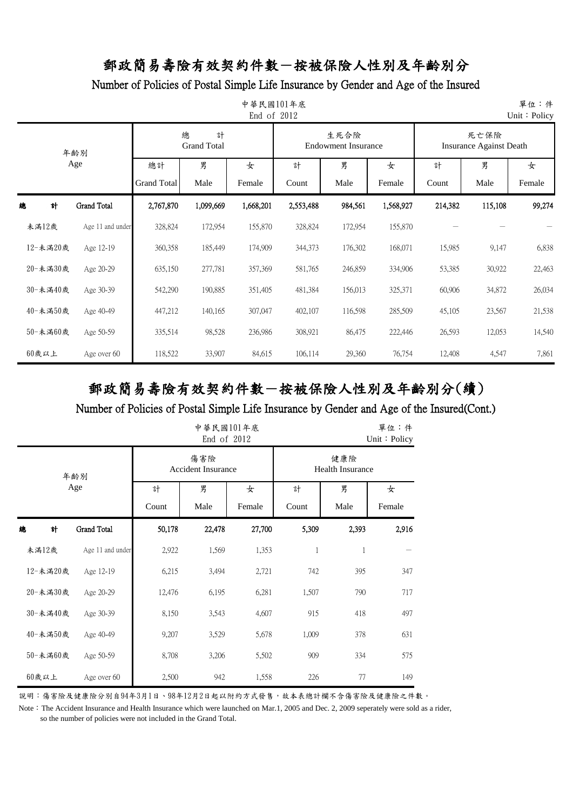#### Number of Policies of Postal Simple Life Insurance by Gender and Age of the Insured

| 中華民國101年底<br>End of 2012 |                    |                    |                              |           |           |                                    |           |         |                                        |        |  |
|--------------------------|--------------------|--------------------|------------------------------|-----------|-----------|------------------------------------|-----------|---------|----------------------------------------|--------|--|
|                          | 年齢別                |                    | 總<br>計<br><b>Grand Total</b> |           |           | 生死合險<br><b>Endowment Insurance</b> |           |         | 死亡保險<br><b>Insurance Against Death</b> |        |  |
|                          | Age                | 總計                 | 男                            | 女         | 計         | 男                                  | 女         | 計       | 男                                      | 女      |  |
|                          |                    | <b>Grand Total</b> | Male                         | Female    | Count     | Male                               | Female    | Count   | Male                                   | Female |  |
| 總<br>計                   | <b>Grand Total</b> | 2,767,870          | 1,099,669                    | 1,668,201 | 2,553,488 | 984,561                            | 1,568,927 | 214,382 | 115,108                                | 99,274 |  |
| 未滿12歲                    | Age 11 and under   | 328,824            | 172,954                      | 155,870   | 328,824   | 172,954                            | 155,870   |         |                                        |        |  |
| 12-未滿20歲                 | Age 12-19          | 360,358            | 185,449                      | 174,909   | 344,373   | 176,302                            | 168,071   | 15,985  | 9,147                                  | 6,838  |  |
| 20-未満30歲                 | Age 20-29          | 635,150            | 277,781                      | 357,369   | 581,765   | 246,859                            | 334,906   | 53,385  | 30,922                                 | 22,463 |  |
| 30-未滿40歲                 | Age 30-39          | 542,290            | 190,885                      | 351,405   | 481,384   | 156,013                            | 325,371   | 60,906  | 34,872                                 | 26,034 |  |
| 40-未滿50歲                 | Age 40-49          | 447,212            | 140,165                      | 307,047   | 402,107   | 116,598                            | 285,509   | 45,105  | 23,567                                 | 21,538 |  |
| 50-未滿60歲                 | Age 50-59          | 335,514            | 98,528                       | 236,986   | 308,921   | 86,475                             | 222,446   | 26,593  | 12,053                                 | 14,540 |  |
| $60$ 歲以上                 | Age over 60        | 118,522            | 33,907                       | 84,615    | 106,114   | 29,360                             | 76,754    | 12,408  | 4,547                                  | 7,861  |  |

# 郵政簡易壽險有效契約件數-按被保險人性別及年齡別分(續)

### Number of Policies of Postal Simple Life Insurance by Gender and Age of the Insured(Cont.)

|   |          |                    | 中華民國101年底<br>End of 2012 |                                  |        | 單位:件<br>Unit: Policy           |       |        |  |
|---|----------|--------------------|--------------------------|----------------------------------|--------|--------------------------------|-------|--------|--|
|   |          | 年齢別                |                          | 傷害險<br><b>Accident Insurance</b> |        | 健康險<br><b>Health Insurance</b> |       |        |  |
|   |          | Age                | 計                        | 男                                | 女      | 計                              | 男     | 女      |  |
|   |          |                    | Count                    | Male                             | Female | Count                          | Male  | Female |  |
| 總 | 計        | <b>Grand Total</b> | 50,178                   | 22,478                           | 27,700 | 5,309                          | 2,393 | 2,916  |  |
|   | 未満12歲    | Age 11 and under   | 2,922                    | 1,569                            | 1,353  | 1                              | 1     |        |  |
|   | 12-未滿20歲 | Age 12-19          | 6,215                    | 3,494                            | 2,721  | 742                            | 395   | 347    |  |
|   | 20-未滿30歲 | Age 20-29          | 12,476                   | 6,195                            | 6,281  | 1,507                          | 790   | 717    |  |
|   | 30-未滿40歲 | Age 30-39          | 8,150                    | 3,543                            | 4,607  | 915                            | 418   | 497    |  |
|   | 40-未滿50歲 | Age 40-49          | 9,207                    | 3,529                            | 5,678  | 1,009                          | 378   | 631    |  |
|   | 50-未滿60歲 | Age 50-59          | 8,708                    | 3,206                            | 5,502  | 909                            | 334   | 575    |  |
|   | $60$ 歲以上 | Age over 60        | 2,500                    | 942                              | 1,558  | 226                            | 77    | 149    |  |

說明:傷害險及健康險分別自94年3月1日、98年12月2日起以附約方式發售,故本表總計欄不含傷害險及健康險之件數。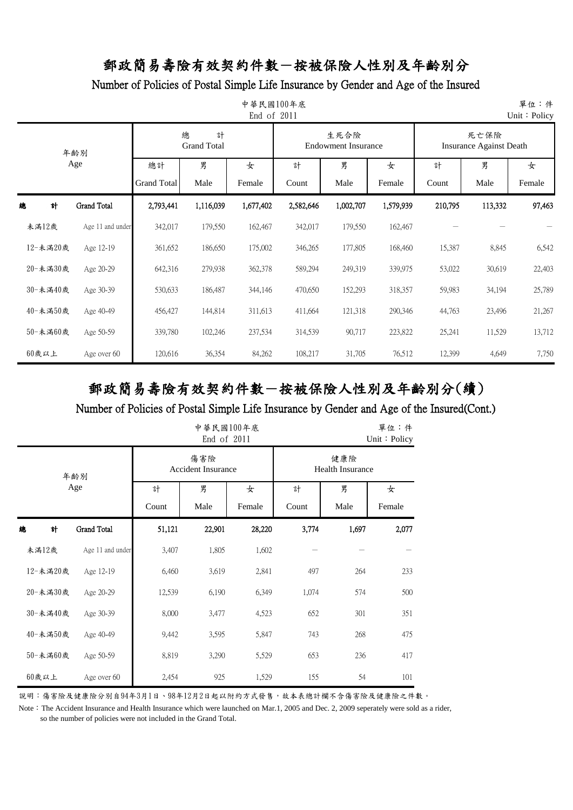### Number of Policies of Postal Simple Life Insurance by Gender and Age of the Insured

|          |                    |                    |                              |           |           | 單位:件<br>Unit: Policy               |           |         |                                        |        |
|----------|--------------------|--------------------|------------------------------|-----------|-----------|------------------------------------|-----------|---------|----------------------------------------|--------|
|          | 年齢別                |                    | 總<br>計<br><b>Grand Total</b> |           |           | 生死合險<br><b>Endowment Insurance</b> |           |         | 死亡保險<br><b>Insurance Against Death</b> |        |
|          | Age                | 總計                 | 男                            | 女         | 計         | 男                                  | 女         | 計       | 男                                      | 女      |
|          |                    | <b>Grand Total</b> | Male                         | Female    | Count     | Male                               | Female    | Count   | Male                                   | Female |
| 計<br>總   | <b>Grand Total</b> | 2,793,441          | 1,116,039                    | 1,677,402 | 2,582,646 | 1,002,707                          | 1,579,939 | 210,795 | 113,332                                | 97,463 |
| 未滿12歲    | Age 11 and under   | 342,017            | 179,550                      | 162,467   | 342,017   | 179,550                            | 162,467   |         |                                        |        |
| 12-未滿20歲 | Age 12-19          | 361,652            | 186,650                      | 175,002   | 346,265   | 177,805                            | 168,460   | 15,387  | 8,845                                  | 6,542  |
| 20-未満30歲 | Age 20-29          | 642,316            | 279,938                      | 362,378   | 589,294   | 249,319                            | 339,975   | 53,022  | 30,619                                 | 22,403 |
| 30-未滿40歲 | Age 30-39          | 530,633            | 186,487                      | 344,146   | 470,650   | 152,293                            | 318,357   | 59,983  | 34,194                                 | 25,789 |
| 40-未滿50歲 | Age 40-49          | 456,427            | 144,814                      | 311,613   | 411,664   | 121,318                            | 290,346   | 44,763  | 23,496                                 | 21,267 |
| 50-未滿60歲 | Age 50-59          | 339,780            | 102,246                      | 237,534   | 314,539   | 90,717                             | 223,822   | 25,241  | 11,529                                 | 13,712 |
| $60$ 歲以上 | Age over 60        | 120,616            | 36,354                       | 84,262    | 108,217   | 31,705                             | 76,512    | 12,399  | 4,649                                  | 7,750  |

# 郵政簡易壽險有效契約件數-按被保險人性別及年齡別分(續)

### Number of Policies of Postal Simple Life Insurance by Gender and Age of the Insured(Cont.)

|          |   |                  |                                                                    |        | 單位:件<br>Unit: Policy |       |       |        |  |  |
|----------|---|------------------|--------------------------------------------------------------------|--------|----------------------|-------|-------|--------|--|--|
|          |   | 年齡別              | 傷害險<br>健康險<br><b>Health Insurance</b><br><b>Accident Insurance</b> |        |                      |       |       |        |  |  |
|          |   | Age              | 計                                                                  | 男      | 女                    | 計     | 男     | 女      |  |  |
|          |   |                  | Count                                                              | Male   | Female               | Count | Male  | Female |  |  |
| 總        | 計 | Grand Total      | 51,121                                                             | 22,901 | 28,220               | 3,774 | 1,697 | 2,077  |  |  |
| 未満12歲    |   | Age 11 and under | 3,407                                                              | 1,805  | 1,602                |       |       |        |  |  |
| 12-未滿20歲 |   | Age 12-19        | 6,460                                                              | 3,619  | 2,841                | 497   | 264   | 233    |  |  |
| 20-未滿30歲 |   | Age 20-29        | 12,539                                                             | 6,190  | 6,349                | 1,074 | 574   | 500    |  |  |
| 30-未滿40歲 |   | Age 30-39        | 8,000                                                              | 3,477  | 4,523                | 652   | 301   | 351    |  |  |
| 40-未滿50歲 |   | Age 40-49        | 9,442                                                              | 3,595  | 5,847                | 743   | 268   | 475    |  |  |
| 50-未滿60歲 |   | Age 50-59        | 8,819                                                              | 3,290  | 5,529                | 653   | 236   | 417    |  |  |
| $60$ 歲以上 |   | Age over 60      | 2,454                                                              | 925    | 1,529                | 155   | 54    | 101    |  |  |

說明:傷害險及健康險分別自94年3月1日、98年12月2日起以附約方式發售,故本表總計欄不含傷害險及健康險之件數。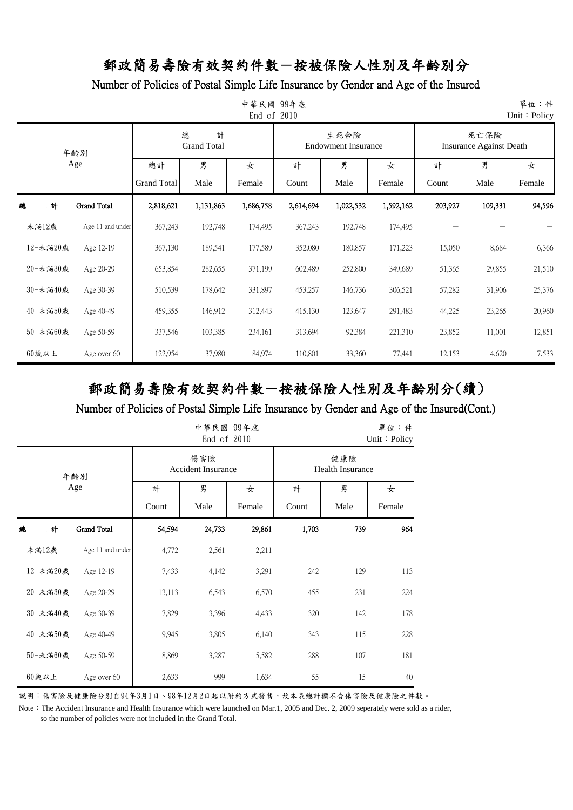#### Number of Policies of Postal Simple Life Insurance by Gender and Age of the Insured

|          |                    |                    |                              | 中華民國<br>End of 2010 | 99年底      |                                    |           |         |                                        | 單位:件<br>Unit: Policy |
|----------|--------------------|--------------------|------------------------------|---------------------|-----------|------------------------------------|-----------|---------|----------------------------------------|----------------------|
|          | 年齢別                |                    | 總<br>計<br><b>Grand Total</b> |                     |           | 生死合險<br><b>Endowment Insurance</b> |           |         | 死亡保險<br><b>Insurance Against Death</b> |                      |
|          | Age                | 總計                 | 男                            | 女                   | 計         | 男                                  | 女         | 計       | 男                                      | 女                    |
|          |                    | <b>Grand Total</b> | Male                         | Female              | Count     | Male                               | Female    | Count   | Male                                   | Female               |
| 總<br>計   | <b>Grand Total</b> | 2,818,621          | 1,131,863                    | 1,686,758           | 2,614,694 | 1,022,532                          | 1,592,162 | 203,927 | 109,331                                | 94,596               |
| 未滿12歲    | Age 11 and under   | 367,243            | 192,748                      | 174,495             | 367,243   | 192,748                            | 174,495   |         |                                        |                      |
| 12-未満20歲 | Age 12-19          | 367,130            | 189,541                      | 177,589             | 352,080   | 180,857                            | 171,223   | 15,050  | 8,684                                  | 6,366                |
| 20-未満30歲 | Age 20-29          | 653,854            | 282,655                      | 371,199             | 602,489   | 252,800                            | 349,689   | 51,365  | 29,855                                 | 21,510               |
| 30-未滿40歲 | Age 30-39          | 510,539            | 178,642                      | 331,897             | 453,257   | 146,736                            | 306,521   | 57,282  | 31,906                                 | 25,376               |
| 40-未満50歲 | Age 40-49          | 459,355            | 146,912                      | 312,443             | 415,130   | 123,647                            | 291,483   | 44,225  | 23,265                                 | 20,960               |
| 50-未滿60歲 | Age 50-59          | 337,546            | 103,385                      | 234,161             | 313,694   | 92,384                             | 221,310   | 23,852  | 11,001                                 | 12,851               |
| $60$ 歲以上 | Age over 60        | 122,954            | 37,980                       | 84,974              | 110,801   | 33,360                             | 77,441    | 12,153  | 4,620                                  | 7,533                |

# 郵政簡易壽險有效契約件數-按被保險人性別及年齡別分(續)

### Number of Policies of Postal Simple Life Insurance by Gender and Age of the Insured(Cont.)

|          |                    |                           | 中華民國 99年底<br>End of 2010       |        |       | 單位:件<br>Unit: Policy |        |
|----------|--------------------|---------------------------|--------------------------------|--------|-------|----------------------|--------|
|          | 年齢別                | <b>Accident Insurance</b> | 健康險<br><b>Health Insurance</b> |        |       |                      |        |
|          | Age                | 計                         | 男                              | 女<br>計 |       | 男                    | 女      |
|          |                    | Count                     | Male                           | Female | Count | Male                 | Female |
| 總<br>計   | <b>Grand Total</b> | 54,594                    | 24,733                         | 29,861 | 1,703 | 739                  | 964    |
| 未滿12歲    | Age 11 and under   | 4,772                     | 2,561                          | 2,211  |       |                      |        |
| 12-未滿20歲 | Age 12-19          | 7,433                     | 4,142                          | 3,291  | 242   | 129                  | 113    |
| 20-未滿30歲 | Age 20-29          | 13,113                    | 6,543                          | 6,570  | 455   | 231                  | 224    |
| 30-未滿40歲 | Age 30-39          | 7,829                     | 3,396                          | 4,433  | 320   | 142                  | 178    |
| 40-未滿50歲 | Age 40-49          | 9,945                     | 3,805                          | 6,140  | 343   | 115                  | 228    |
| 50-未滿60歲 | Age 50-59          | 8,869                     | 3,287                          | 5,582  | 288   | 107                  | 181    |
| $60$ 歲以上 | Age over 60        | 2,633                     | 999                            | 1,634  | 55    | 15                   | 40     |

說明:傷害險及健康險分別自94年3月1日、98年12月2日起以附約方式發售,故本表總計欄不含傷害險及健康險之件數。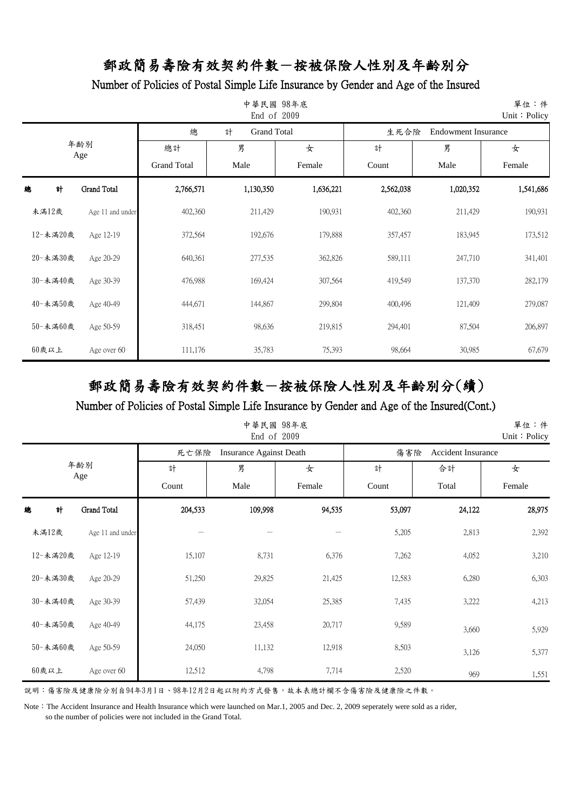### Number of Policies of Postal Simple Life Insurance by Gender and Age of the Insured

|            |                    |                    | 中華民國 98年底<br>End of 2009 |           |           |                                    | 單位:件<br>Unit: Policy |  |  |
|------------|--------------------|--------------------|--------------------------|-----------|-----------|------------------------------------|----------------------|--|--|
|            |                    | 總                  | 計<br><b>Grand Total</b>  |           |           | 生死合險<br><b>Endowment Insurance</b> |                      |  |  |
| 年齢別<br>Age |                    | 總計                 | 男                        | 女         | 計         | 男                                  | 女                    |  |  |
|            |                    | <b>Grand Total</b> | Male                     | Female    | Count     | Male                               | Female               |  |  |
| 計<br>總     | <b>Grand Total</b> | 2,766,571          | 1,130,350                | 1,636,221 | 2,562,038 | 1,020,352                          | 1,541,686            |  |  |
| 未満12歲      | Age 11 and under   | 402,360            | 211,429                  | 190,931   | 402,360   | 211,429                            | 190,931              |  |  |
| 12-未滿20歲   | Age 12-19          | 372,564            | 192,676                  | 179,888   | 357,457   | 183,945                            | 173,512              |  |  |
| 20-未満30歲   | Age 20-29          | 640,361            | 277,535                  | 362,826   | 589,111   | 247,710                            | 341,401              |  |  |
| 30-未滿40歲   | Age 30-39          | 476,988            | 169,424                  | 307,564   | 419,549   | 137,370                            | 282,179              |  |  |
| 40-未滿50歲   | Age 40-49          | 444,671            | 144,867                  | 299,804   | 400,496   | 121,409                            | 279,087              |  |  |
| 50-未滿60歲   | Age 50-59          | 318,451            | 98,636                   | 219,815   | 294,401   | 87,504                             | 206,897              |  |  |
| $60$ 歲以上   | Age over 60        | 111,176            | 35,783                   | 75,393    | 98,664    | 30,985                             | 67,679               |  |  |

### 郵政簡易壽險有效契約件數-按被保險人性別及年齡別分(續)

Number of Policies of Postal Simple Life Insurance by Gender and Age of the Insured(Cont.)

|            |                  |         | 中華民國 98年底<br>End of 2009       |        |                                  |        | 單位:件<br>Unit: Policy |  |
|------------|------------------|---------|--------------------------------|--------|----------------------------------|--------|----------------------|--|
|            |                  | 死亡保險    | <b>Insurance Against Death</b> |        | 傷害險<br><b>Accident Insurance</b> |        |                      |  |
| 年齢別<br>Age |                  | 計       | 男                              | 女      | 計                                | 合計     | 女                    |  |
|            |                  | Count   | Male                           | Female | Count                            | Total  | Female               |  |
| 計<br>總     | Grand Total      | 204,533 | 109,998                        | 94,535 | 53,097                           | 24,122 | 28,975               |  |
| 未滿12歲      | Age 11 and under |         |                                |        | 5,205                            | 2,813  | 2,392                |  |
| 12-未滿20歲   | Age 12-19        | 15,107  | 8,731                          | 6,376  | 7,262                            | 4,052  | 3,210                |  |
| 20-未満30歲   | Age 20-29        | 51,250  | 29,825                         | 21,425 | 12,583                           | 6,280  | 6,303                |  |
| 30-未滿40歲   | Age 30-39        | 57,439  | 32,054                         | 25,385 | 7,435                            | 3,222  | 4,213                |  |
| 40-未滿50歲   | Age 40-49        | 44,175  | 23,458                         | 20,717 | 9,589                            | 3,660  | 5,929                |  |
| 50-未滿60歲   | Age 50-59        | 24,050  | 11,132                         | 12,918 | 8,503                            | 3,126  | 5,377                |  |
| 60歲以上      | Age over 60      | 12,512  | 4,798                          | 7,714  | 2,520                            | 969    | 1,551                |  |

說明:傷害險及健康險分別自94年3月1日、98年12月2日起以附約方式發售,故本表總計欄不含傷害險及健康險之件數。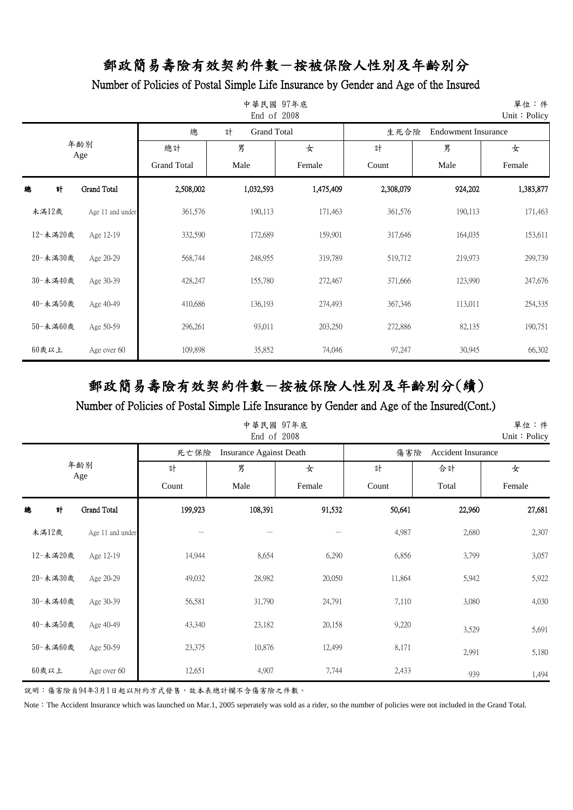### Number of Policies of Postal Simple Life Insurance by Gender and Age of the Insured

| 單位:件<br>中華民國 97年底<br>End of 2008<br>Unit: Policy |                  |                    |                         |           |                                    |         |           |  |
|--------------------------------------------------|------------------|--------------------|-------------------------|-----------|------------------------------------|---------|-----------|--|
|                                                  |                  | 總                  | 計<br><b>Grand Total</b> |           | 生死合險<br><b>Endowment Insurance</b> |         |           |  |
|                                                  | 年齢別              | 總計                 | 男                       | 女         | 計                                  | 男       | 女         |  |
| Age                                              |                  | <b>Grand Total</b> | Male                    | Female    | Count                              | Male    | Female    |  |
| 計<br>總                                           | Grand Total      | 2,508,002          | 1,032,593               | 1,475,409 | 2,308,079                          | 924,202 | 1,383,877 |  |
| 未滿12歲                                            | Age 11 and under | 361,576            | 190,113                 | 171,463   | 361,576                            | 190,113 | 171,463   |  |
| 12-未滿20歲                                         | Age 12-19        | 332,590            | 172,689                 | 159,901   | 317,646                            | 164,035 | 153,611   |  |
| 20-未滿30歲                                         | Age 20-29        | 568,744            | 248,955                 | 319,789   | 519,712                            | 219,973 | 299,739   |  |
| 30-未滿40歲                                         | Age 30-39        | 428,247            | 155,780                 | 272,467   | 371,666                            | 123,990 | 247,676   |  |
| 40-未滿50歲                                         | Age 40-49        | 410,686            | 136,193                 | 274,493   | 367,346                            | 113,011 | 254,335   |  |
| 50-未滿60歲                                         | Age 50-59        | 296,261            | 93,011                  | 203,250   | 272,886                            | 82,135  | 190,751   |  |
| $60$ 歲以上                                         | Age over 60      | 109,898            | 35,852                  | 74,046    | 97,247                             | 30,945  | 66,302    |  |

### 郵政簡易壽險有效契約件數-按被保險人性別及年齡別分(續)

Number of Policies of Postal Simple Life Insurance by Gender and Age of the Insured(Cont.)

|            |                  |         | 中華民國 97年底<br>End of 2008       |        |        |                           | 單位:件<br>Unit: Policy |  |  |
|------------|------------------|---------|--------------------------------|--------|--------|---------------------------|----------------------|--|--|
|            |                  | 死亡保險    | <b>Insurance Against Death</b> |        |        | 傷害險<br>Accident Insurance |                      |  |  |
| 年齢別<br>Age |                  | 計       | 男                              | 女      | 計      | 合計                        | 女                    |  |  |
|            |                  | Count   | Male                           | Female | Count  | Total                     | Female               |  |  |
| 總<br>計     | Grand Total      | 199,923 | 108,391                        | 91,532 | 50,641 | 22,960                    | 27,681               |  |  |
| 未滿12歲      | Age 11 and under |         |                                |        | 4,987  | 2,680                     | 2,307                |  |  |
| 12-未滿20歲   | Age 12-19        | 14,944  | 8,654                          | 6,290  | 6,856  | 3,799                     | 3,057                |  |  |
| 20-未満30歲   | Age 20-29        | 49,032  | 28,982                         | 20,050 | 11,864 | 5,942                     | 5,922                |  |  |
| 30-未滿40歲   | Age 30-39        | 56,581  | 31,790                         | 24,791 | 7,110  | 3,080                     | 4,030                |  |  |
| 40-未滿50歲   | Age 40-49        | 43,340  | 23,182                         | 20,158 | 9,220  | 3,529                     | 5,691                |  |  |
| 50-未満60歲   | Age 50-59        | 23,375  | 10,876                         | 12,499 | 8,171  | 2,991                     | 5,180                |  |  |
| 60歲以上      | Age over 60      | 12,651  | 4,907                          | 7,744  | 2,433  | 939                       | 1,494                |  |  |

說明:傷害險自94年3月1日起以附約方式發售,故本表總計欄不含傷害險之件數。

Note: The Accident Insurance which was launched on Mar.1, 2005 seperately was sold as a rider, so the number of policies were not included in the Grand Total.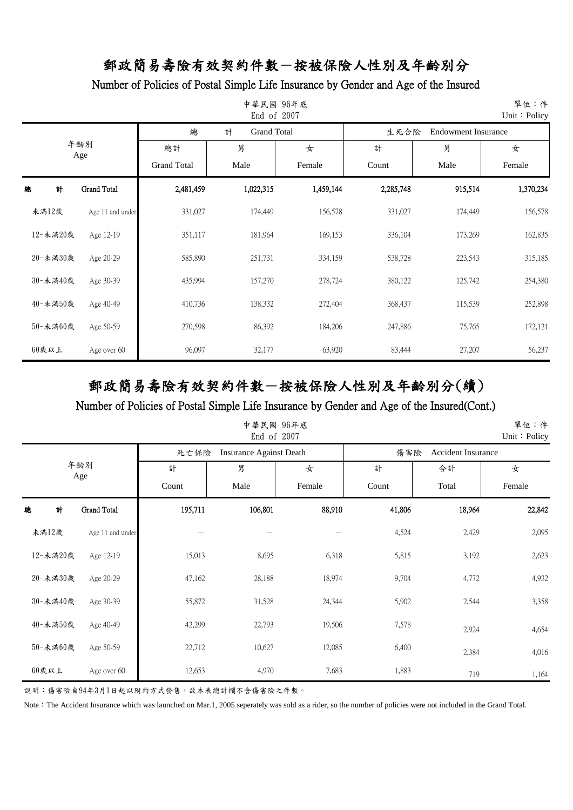### Number of Policies of Postal Simple Life Insurance by Gender and Age of the Insured

|            |                  |                    | 中華民國 96年底<br>End of 2007 |           |           |                            | 單位:件<br>Unit: Policy |
|------------|------------------|--------------------|--------------------------|-----------|-----------|----------------------------|----------------------|
|            |                  | 總                  | 計<br><b>Grand Total</b>  |           | 生死合險      | <b>Endowment Insurance</b> |                      |
| 年齢別<br>Age |                  | 總計                 | 男                        | 女         | 計         | 男                          | 女                    |
|            |                  | <b>Grand Total</b> | Male                     | Female    | Count     | Male                       | Female               |
| 總<br>計     | Grand Total      | 2,481,459          | 1,022,315                | 1,459,144 | 2,285,748 | 915,514                    | 1,370,234            |
| 未滿12歲      | Age 11 and under | 331,027            | 174,449                  | 156,578   | 331,027   | 174,449                    | 156,578              |
| 12-未滿20歲   | Age 12-19        | 351,117            | 181,964                  | 169,153   | 336,104   | 173,269                    | 162,835              |
| 20-未満30歲   | Age 20-29        | 585,890            | 251,731                  | 334,159   | 538,728   | 223,543                    | 315,185              |
| 30-未滿40歲   | Age 30-39        | 435,994            | 157,270                  | 278,724   | 380,122   | 125,742                    | 254,380              |
| 40-未滿50歲   | Age 40-49        | 410,736            | 138,332                  | 272,404   | 368,437   | 115,539                    | 252,898              |
| 50-未満60歲   | Age 50-59        | 270,598            | 86,392                   | 184,206   | 247,886   | 75,765                     | 172,121              |
| $60$ 歲以上   | Age over 60      | 96,097             | 32,177                   | 63,920    | 83,444    | 27,207                     | 56,237               |

### 郵政簡易壽險有效契約件數-按被保險人性別及年齡別分(續)

Number of Policies of Postal Simple Life Insurance by Gender and Age of the Insured(Cont.)

|            |                  |         | 中華民國 96年底<br>End of 2007       |        |        |                    | 單位:件<br>Unit: Policy |
|------------|------------------|---------|--------------------------------|--------|--------|--------------------|----------------------|
|            |                  | 死亡保險    | <b>Insurance Against Death</b> |        | 傷害險    | Accident Insurance |                      |
| 年齢別<br>Age |                  | 計       | 男                              | 女      | 計      | 合計                 | 女                    |
|            |                  | Count   | Male                           | Female | Count  | Total              | Female               |
| 總<br>計     | Grand Total      | 195,711 | 106,801                        | 88,910 | 41,806 | 18,964             | 22,842               |
| 未滿12歲      | Age 11 and under |         |                                |        | 4,524  | 2,429              | 2,095                |
| 12-未滿20歲   | Age 12-19        | 15,013  | 8,695                          | 6,318  | 5,815  | 3,192              | 2,623                |
| 20-未満30歲   | Age 20-29        | 47,162  | 28,188                         | 18,974 | 9,704  | 4,772              | 4,932                |
| 30-未滿40歲   | Age 30-39        | 55,872  | 31,528                         | 24,344 | 5,902  | 2,544              | 3,358                |
| 40-未滿50歲   | Age 40-49        | 42,299  | 22,793                         | 19,506 | 7,578  | 2,924              | 4,654                |
| 50-未満60歲   | Age 50-59        | 22,712  | 10,627                         | 12,085 | 6,400  | 2,384              | 4,016                |
| 60歲以上      | Age over 60      | 12,653  | 4,970                          | 7,683  | 1,883  | 719                | 1,164                |

說明:傷害險自94年3月1日起以附約方式發售,故本表總計欄不含傷害險之件數。

Note: The Accident Insurance which was launched on Mar.1, 2005 seperately was sold as a rider, so the number of policies were not included in the Grand Total.